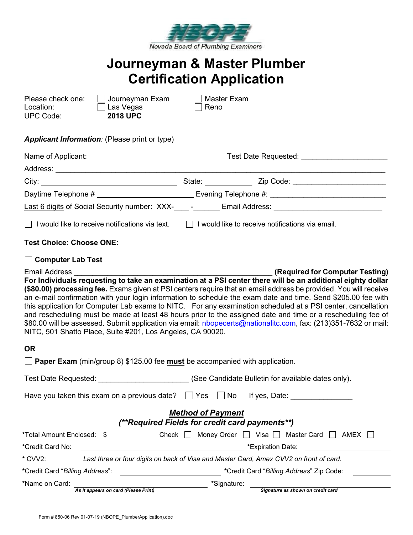

# Journeyman & Master Plumber Certification Application

| Please check one: | $\mathbf{1}$ |
|-------------------|--------------|
| Location:         | $\Box$       |
| UPC Code:         |              |

Las Vegas  $\Box$  Reno 2018 UPC

Journeyman Exam  $\Box$  Master Exam

#### Applicant Information: (Please print or type)

|                                                                              |                                                                                                                                                                                                                                | State: Zip Code:                                        |
|------------------------------------------------------------------------------|--------------------------------------------------------------------------------------------------------------------------------------------------------------------------------------------------------------------------------|---------------------------------------------------------|
|                                                                              | Evening Telephone #: Network and the set of the set of the set of the set of the set of the set of the set of the set of the set of the set of the set of the set of the set of the set of the set of the set of the set of th |                                                         |
| Last 6 digits of Social Security number: XXX-     -     -     Email Address: |                                                                                                                                                                                                                                |                                                         |
| $\Box$ I would like to receive notifications via text.                       |                                                                                                                                                                                                                                | $\Box$ I would like to receive notifications via email. |

### Test Choice: Choose ONE:

### Computer Lab Test

### Email Address **Email Address Email Address Email Address Email Address Email Address Email Address Email Address Email Address Email Address Email Address Email Address Email Address Email Address <b>**

For Individuals requesting to take an examination at a PSI center there will be an additional eighty dollar (\$80.00) processing fee. Exams given at PSI centers require that an email address be provided. You will receive an e-mail confirmation with your login information to schedule the exam date and time. Send \$205.00 fee with this application for Computer Lab exams to NITC. For any examination scheduled at a PSI center, cancellation and rescheduling must be made at least 48 hours prior to the assigned date and time or a rescheduling fee of \$80.00 will be assessed. Submit application via email: *nbopecerts@nationalitc.com*, fax: (213)351-7632 or mail: NITC, 501 Shatto Place, Suite #201, Los Angeles, CA 90020.

### OR

| $\Box$ Paper Exam (min/group 8) \$125.00 fee must be accompanied with application. |  |  |                                                    |  |  |
|------------------------------------------------------------------------------------|--|--|----------------------------------------------------|--|--|
| Test Date Requested: _____                                                         |  |  | (See Candidate Bulletin for available dates only). |  |  |
| Have you taken this exam on a previous date? $\Box$ Yes $\Box$ No                  |  |  | If yes, Date:                                      |  |  |
| <b>Method of Payment</b><br>(**Required Fields for credit card payments**)         |  |  |                                                    |  |  |

| *Total Amount Enclosed: \$      | Check                                | Money Order   Visa   Master Card   AMEX                                                |
|---------------------------------|--------------------------------------|----------------------------------------------------------------------------------------|
| *Credit Card No:                |                                      | *Expiration Date:                                                                      |
| * CVV2:                         |                                      | Last three or four digits on back of Visa and Master Card, Amex CVV2 on front of card. |
| *Credit Card "Billing Address": |                                      | *Credit Card "Billing Address" Zip Code:                                               |
| *Name on Card:                  |                                      | *Signature:                                                                            |
|                                 | As it appears on card (Please Print) | Signature as shown on credit card                                                      |